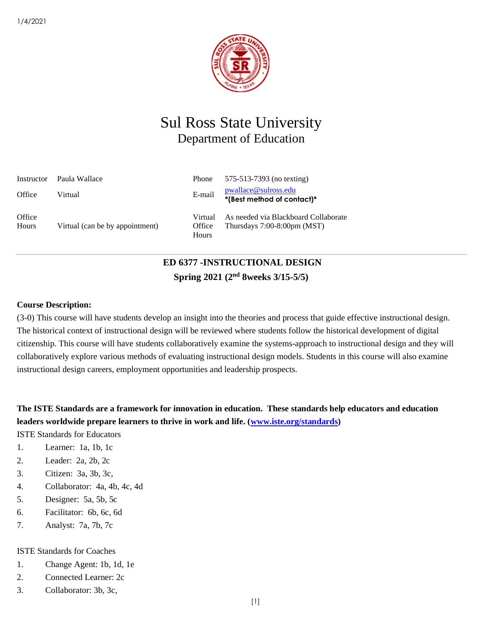

# Sul Ross State University Department of Education

| Instructor      | - Paula Wallace                 | Phone                      | 575-513-7393 (no texting)                                              |
|-----------------|---------------------------------|----------------------------|------------------------------------------------------------------------|
| Office          | Virtual                         | E-mail                     | pwallace@sulross.edu<br>*(Best method of contact)*                     |
| Office<br>Hours | Virtual (can be by appointment) | Virtual<br>Office<br>Hours | As needed via Blackboard Collaborate<br>Thursdays $7:00-8:00$ pm (MST) |

# **ED 6377 -INSTRUCTIONAL DESIGN Spring 2021 (2nd 8weeks 3/15-5/5)**

### **Course Description:**

(3-0) This course will have students develop an insight into the theories and process that guide effective instructional design. The historical context of instructional design will be reviewed where students follow the historical development of digital citizenship. This course will have students collaboratively examine the systems-approach to instructional design and they will collaboratively explore various methods of evaluating instructional design models. Students in this course will also examine instructional design careers, employment opportunities and leadership prospects.

# **The ISTE Standards are a framework for innovation in education. These standards help educators and education**  leaders worldwide prepare learners to thrive in work and life. [\(www.iste.org/standards\)](http://www.iste.org/standards)

ISTE Standards for Educators

- 1. Learner: 1a, 1b, 1c
- 2. Leader: 2a, 2b, 2c
- 3. Citizen: 3a, 3b, 3c,
- 4. Collaborator: 4a, 4b, 4c, 4d
- 5. Designer: 5a, 5b, 5c
- 6. Facilitator: 6b, 6c, 6d
- 7. Analyst: 7a, 7b, 7c

### ISTE Standards for Coaches

- 1. Change Agent: 1b, 1d, 1e
- 2. Connected Learner: 2c
- 3. Collaborator: 3b, 3c,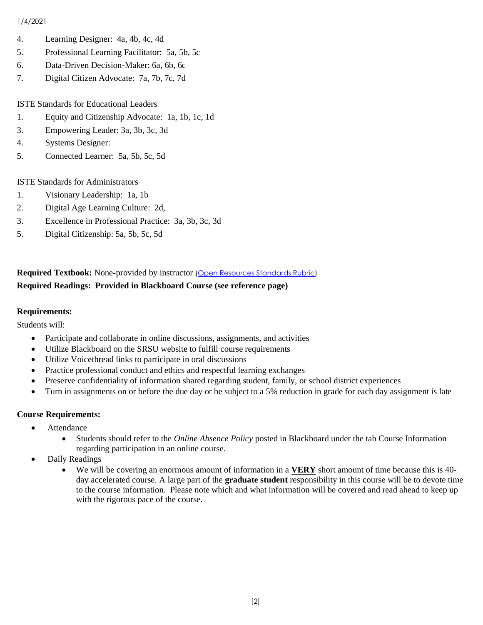- 4. Learning Designer: 4a, 4b, 4c, 4d
- 5. Professional Learning Facilitator: 5a, 5b, 5c
- 6. Data-Driven Decision-Maker: 6a, 6b, 6c
- 7. Digital Citizen Advocate: 7a, 7b, 7c, 7d

ISTE Standards for Educational Leaders

- 1. Equity and Citizenship Advocate: 1a, 1b, 1c, 1d
- 3. Empowering Leader: 3a, 3b, 3c, 3d
- 4. Systems Designer:
- 5. Connected Learner: 5a, 5b, 5c, 5d

ISTE Standards for Administrators

- 1. Visionary Leadership: 1a, 1b
- 2. Digital Age Learning Culture: 2d,
- 3. Excellence in Professional Practice: 3a, 3b, 3c, 3d
- 5. Digital Citizenship: 5a, 5b, 5c, 5d

# **Required Textbook:** None-provided by instructor [\(Open Resources Standards Rubric\)](https://www.achieve.org/files/AchieveOERRubrics.pdf) **Required Readings: Provided in Blackboard Course (see reference page)**

### **Requirements:**

Students will:

- Participate and collaborate in online discussions, assignments, and activities
- Utilize Blackboard on the SRSU website to fulfill course requirements
- Utilize Voicethread links to participate in oral discussions
- Practice professional conduct and ethics and respectful learning exchanges
- Preserve confidentiality of information shared regarding student, family, or school district experiences
- Turn in assignments on or before the due day or be subject to a 5% reduction in grade for each day assignment is late

### **Course Requirements:**

- Attendance
	- Students should refer to the *Online Absence Policy* posted in Blackboard under the tab Course Information regarding participation in an online course.
- Daily Readings
	- We will be covering an enormous amount of information in a **VERY** short amount of time because this is 40 day accelerated course. A large part of the **graduate student** responsibility in this course will be to devote time to the course information. Please note which and what information will be covered and read ahead to keep up with the rigorous pace of the course.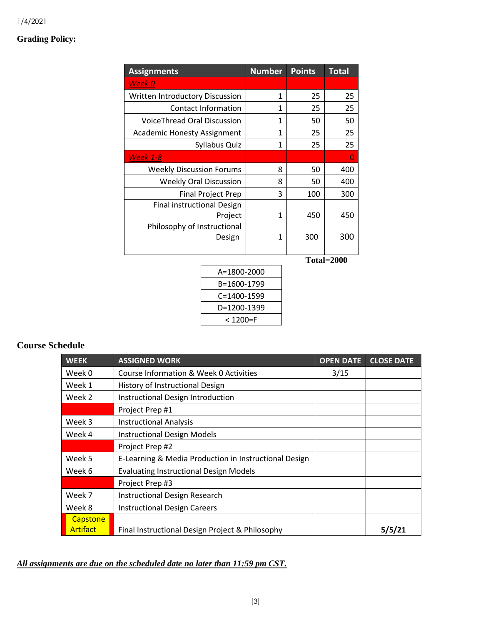# **Grading Policy:**

| <b>Assignments</b>                 |                               | <b>Number</b> | <b>Points</b> | <b>Total</b> |
|------------------------------------|-------------------------------|---------------|---------------|--------------|
| Week 0                             |                               |               |               |              |
| Written Introductory Discussion    |                               | 1             | 25            | 25           |
|                                    | <b>Contact Information</b>    | 1             | 25            | 25           |
| VoiceThread Oral Discussion        |                               | 1             | 50            | 50           |
| <b>Academic Honesty Assignment</b> |                               | $\mathbf{1}$  | 25            | 25           |
|                                    | Syllabus Quiz                 | 1             | 25            | 25           |
| <b>Week 1-8</b>                    |                               |               |               | 0            |
| <b>Weekly Discussion Forums</b>    |                               | 8             | 50            | 400          |
|                                    | <b>Weekly Oral Discussion</b> | 8             | 50            | 400          |
|                                    | <b>Final Project Prep</b>     | 3             | 100           | 300          |
| <b>Final instructional Design</b>  |                               |               |               |              |
| Project                            |                               | 1             | 450           | 450          |
| Philosophy of Instructional        |                               |               |               |              |
| Design                             |                               | 1             | 300           | 300          |
|                                    |                               |               |               |              |
|                                    |                               |               |               | Total=2000   |
|                                    | A=1800-2000                   |               |               |              |
| B=1600-1799                        |                               |               |               |              |
| C=1400-1599                        |                               |               |               |              |

D=1200-1399 < 1200=F

# **Course Schedule**

| <b>WEEK</b>     | <b>ASSIGNED WORK</b>                                  | <b>OPEN DATE</b> | <b>CLOSE DATE</b> |
|-----------------|-------------------------------------------------------|------------------|-------------------|
| Week 0          | Course Information & Week 0 Activities                | 3/15             |                   |
| Week 1          | History of Instructional Design                       |                  |                   |
| Week 2          | Instructional Design Introduction                     |                  |                   |
|                 | Project Prep #1                                       |                  |                   |
| Week 3          | <b>Instructional Analysis</b>                         |                  |                   |
| Week 4          | <b>Instructional Design Models</b>                    |                  |                   |
|                 | Project Prep #2                                       |                  |                   |
| Week 5          | E-Learning & Media Production in Instructional Design |                  |                   |
| Week 6          | <b>Evaluating Instructional Design Models</b>         |                  |                   |
|                 | Project Prep #3                                       |                  |                   |
| Week 7          | <b>Instructional Design Research</b>                  |                  |                   |
| Week 8          | <b>Instructional Design Careers</b>                   |                  |                   |
| Capstone        |                                                       |                  |                   |
| <b>Artifact</b> | Final Instructional Design Project & Philosophy       |                  | 5/5/21            |

## *All assignments are due on the scheduled date no later than 11:59 pm CST.*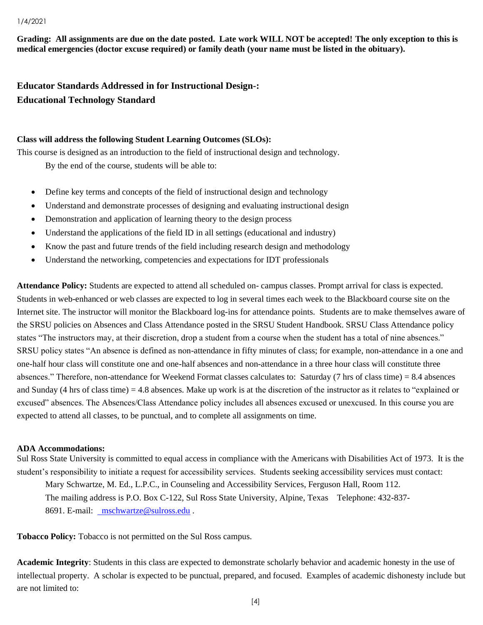**Grading: All assignments are due on the date posted. Late work WILL NOT be accepted! The only exception to this is medical emergencies (doctor excuse required) or family death (your name must be listed in the obituary).** 

**Educator Standards Addressed in for Instructional Design-: Educational Technology Standard**

### **Class will address the following Student Learning Outcomes (SLOs):**

This course is designed as an introduction to the field of instructional design and technology. By the end of the course, students will be able to:

- Define key terms and concepts of the field of instructional design and technology
- Understand and demonstrate processes of designing and evaluating instructional design
- Demonstration and application of learning theory to the design process
- Understand the applications of the field ID in all settings (educational and industry)
- Know the past and future trends of the field including research design and methodology
- Understand the networking, competencies and expectations for IDT professionals

**Attendance Policy:** Students are expected to attend all scheduled on- campus classes. Prompt arrival for class is expected. Students in web-enhanced or web classes are expected to log in several times each week to the Blackboard course site on the Internet site. The instructor will monitor the Blackboard log-ins for attendance points. Students are to make themselves aware of the SRSU policies on Absences and Class Attendance posted in the SRSU Student Handbook. SRSU Class Attendance policy states "The instructors may, at their discretion, drop a student from a course when the student has a total of nine absences." SRSU policy states "An absence is defined as non-attendance in fifty minutes of class; for example, non-attendance in a one and one-half hour class will constitute one and one-half absences and non-attendance in a three hour class will constitute three absences." Therefore, non-attendance for Weekend Format classes calculates to: Saturday (7 hrs of class time) = 8.4 absences and Sunday (4 hrs of class time) = 4.8 absences. Make up work is at the discretion of the instructor as it relates to "explained or excused" absences. The Absences/Class Attendance policy includes all absences excused or unexcused. In this course you are expected to attend all classes, to be punctual, and to complete all assignments on time.

### **ADA Accommodations:**

Sul Ross State University is committed to equal access in compliance with the Americans with Disabilities Act of 1973. It is the student's responsibility to initiate a request for accessibility services. Students seeking accessibility services must contact: Mary Schwartze, M. Ed., L.P.C., in Counseling and Accessibility Services, Ferguson Hall, Room 112. The mailing address is P.O. Box C-122, Sul Ross State University, Alpine, Texas Telephone: 432-837- 8691. E-mail: [mschwartze@sulross.edu](mailto:%20%20mschwartze@sulross.edu) .

**Tobacco Policy:** Tobacco is not permitted on the Sul Ross campus.

**Academic Integrity**: Students in this class are expected to demonstrate scholarly behavior and academic honesty in the use of intellectual property. A scholar is expected to be punctual, prepared, and focused. Examples of academic dishonesty include but are not limited to: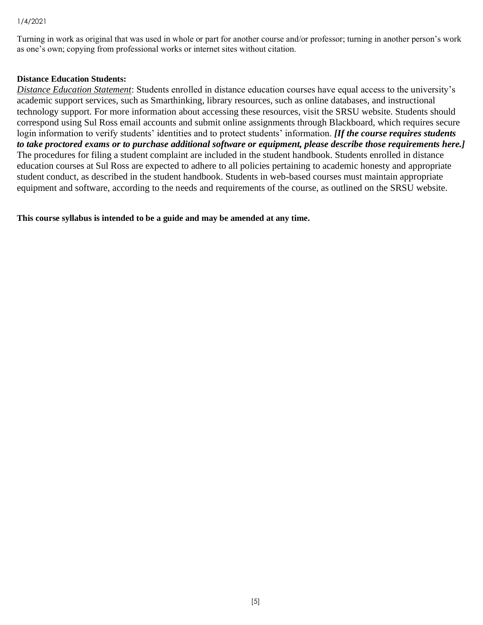Turning in work as original that was used in whole or part for another course and/or professor; turning in another person's work as one's own; copying from professional works or internet sites without citation.

### **Distance Education Students:**

*Distance Education Statement*: Students enrolled in distance education courses have equal access to the university's academic support services, such as Smarthinking, library resources, such as online databases, and instructional technology support. For more information about accessing these resources, visit the SRSU website. Students should correspond using Sul Ross email accounts and submit online assignments through Blackboard, which requires secure login information to verify students' identities and to protect students' information. *[If the course requires students to take proctored exams or to purchase additional software or equipment, please describe those requirements here.]* The procedures for filing a student complaint are included in the student handbook. Students enrolled in distance education courses at Sul Ross are expected to adhere to all policies pertaining to academic honesty and appropriate student conduct, as described in the student handbook. Students in web-based courses must maintain appropriate equipment and software, according to the needs and requirements of the course, as outlined on the SRSU website.

**This course syllabus is intended to be a guide and may be amended at any time.**